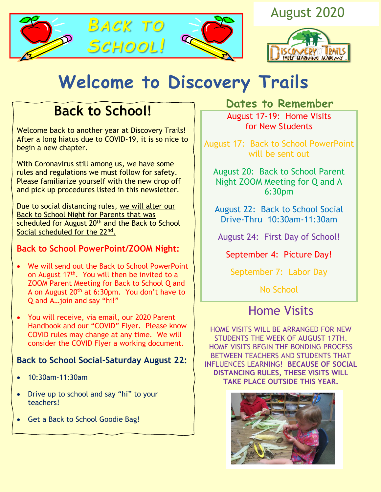





# **Welcome to Discovery Trails**

# **Back to School!**

Welcome back to another year at Discovery Trails! After a long hiatus due to COVID-19, it is so nice to begin a new chapter.

With Coronavirus still among us, we have some rules and regulations we must follow for safety. Please familiarize yourself with the new drop off and pick up procedures listed in this newsletter.

Due to social distancing rules, we will alter our Back to School Night for Parents that was scheduled for August 20<sup>th</sup> and the Back to School Social scheduled for the 22<sup>nd</sup>.

#### **Back to School PowerPoint/ZOOM Night:**

- We will send out the Back to School PowerPoint on August 17<sup>th</sup>. You will then be invited to a ZOOM Parent Meeting for Back to School Q and A on August 20th at 6:30pm. You don't have to Q and A…join and say "hi!"
- You will receive, via email, our 2020 Parent Handbook and our "COVID" Flyer. Please know COVID rules may change at any time. We will consider the COVID Flyer a working document.

#### **Back to School Social-Saturday August 22:**

- 10:30am-11:30am
- Drive up to school and say "hi" to your teachers!
- Get a Back to School Goodie Bag!

#### **Dates to Remember**

August 17-19: Home Visits for New Students

August 17: Back to School PowerPoint will be sent out

August 20: Back to School Parent Night ZOOM Meeting for Q and A 6:30pm

August 22: Back to School Social Drive-Thru 10:30am-11:30am

August 24: First Day of School!

September 4: Picture Day!

September 7: Labor Day

No School

## Home Visits

HOME VISITS WILL BE ARRANGED FOR NEW STUDENTS THE WEEK OF AUGUST 17TH. HOME VISITS BEGIN THE BONDING PROCESS BETWEEN TEACHERS AND STUDENTS THAT INFLUENCES LEARNING! **BECAUSE OF SOCIAL DISTANCING RULES, THESE VISITS WILL TAKE PLACE OUTSIDE THIS YEAR.** 

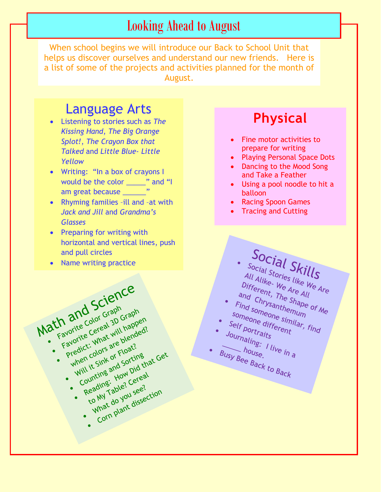### Looking Ahead to August

When school begins we will introduce our Back to School Unit that helps us discover ourselves and understand our new friends. Here is a list of some of the projects and activities planned for the month of August.

#### Language Arts

- Listening to stories such as *The Kissing Hand*, *The Big Orange Splot!*, *The Crayon Box that Talked* and *Little Blue- Little Yellow*
- Writing: "In a box of crayons I would be the color \_\_\_\_\_" and "I am great because \_\_\_\_\_
- Rhyming families –ill and –at with *Jack and Jill* and *Grandma's Glasses*
- Preparing for writing with horizontal and vertical lines, push and pull circles
- Name writing practice



## **Physical**

- Fine motor activities to prepare for writing
- Playing Personal Space Dots
- Dancing to the Mood Song and Take a Feather
- Using a pool noodle to hit a balloon
- Racing Spoon Games
- Tracing and Cutting
- Social Skills<br>Social stories like is **Social Skills**<br>All Alike- We like We Are<br>Different, The Are All<br>Part, The All Sucial Stories like<br>All Alike- We Are We<br>Different, The Shall All Alike- We like We Are<br>Different, The Shape of Me<br>and Chrysanthemum<br>Tind someone simum
- *and Chrysanthe Are All*<br>*and Chrysanthe Shape*<br>Find someone simily and Chrysanthemum<br>Find someone simum<br>someone simum<br>Self portraits<br>Purp critraits
- and someone similitiem<br>Someone different<br>Self portraits<br>ournsultaits Self portraits
- Journaling: I live in a<br>Journaling: I live in a<br>Jusy Bee n Busy Bee Back to Back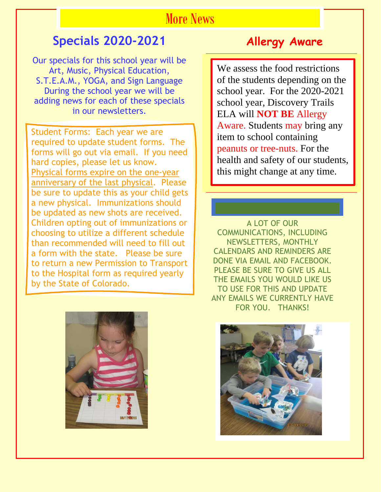### More News

#### **Specials 2020-2021**

Our specials for this school year will be Art, Music, Physical Education, S.T.E.A.M., YOGA, and Sign Language During the school year we will be adding news for each of these specials in our newsletters.

Student Forms: Each year we are required to update student forms. The forms will go out via email. If you need hard copies, please let us know. Physical forms expire on the one-year anniversary of the last physical. Please be sure to update this as your child gets a new physical. Immunizations should be updated as new shots are received. Children opting out of immunizations or choosing to utilize a different schedule than recommended will need to fill out a form with the state. Please be sure to return a new Permission to Transport to the Hospital form as required yearly by the State of Colorado.



We assess the food restrictions of the students depending on the school year. For the 2020-2021 school year, Discovery Trails ELA will **NOT BE** Allergy Aware. Students may bring any item to school containing peanuts or tree-nuts. For the health and safety of our students, this might change at any time.

A LOT OF OUR COMMUNICATIONS, INCLUDING NEWSLETTERS, MONTHLY CALENDARS AND REMINDERS ARE DONE VIA EMAIL AND FACEBOOK. PLEASE BE SURE TO GIVE US ALL THE EMAILS YOU WOULD LIKE US TO USE FOR THIS AND UPDATE ANY EMAILS WE CURRENTLY HAVE FOR YOU. THANKS!



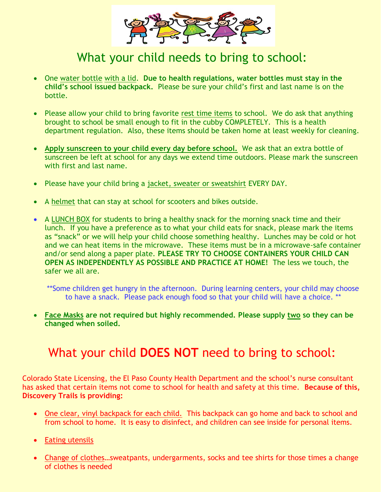

#### What your child needs to bring to school:

- One water bottle with a lid. **Due to health regulations, water bottles must stay in the child's school issued backpack.** Please be sure your child's first and last name is on the bottle.
- Please allow your child to bring favorite rest time items to school. We do ask that anything brought to school be small enough to fit in the cubby COMPLETELY. This is a health department regulation. Also, these items should be taken home at least weekly for cleaning.
- **Apply sunscreen to your child every day before school.** We ask that an extra bottle of sunscreen be left at school for any days we extend time outdoors. Please mark the sunscreen with first and last name.
- Please have your child bring a jacket, sweater or sweatshirt EVERY DAY.
- A helmet that can stay at school for scooters and bikes outside.
- A LUNCH BOX for students to bring a healthy snack for the morning snack time and their lunch. If you have a preference as to what your child eats for snack, please mark the items as "snack" or we will help your child choose something healthy. Lunches may be cold or hot and we can heat items in the microwave. These items must be in a microwave-safe container and/or send along a paper plate. **PLEASE TRY TO CHOOSE CONTAINERS YOUR CHILD CAN OPEN AS INDEPENDENTLY AS POSSIBLE AND PRACTICE AT HOME!** The less we touch, the safer we all are.

\*\*Some children get hungry in the afternoon. During learning centers, your child may choose to have a snack. Please pack enough food so that your child will have a choice. \*\*

• **Face Masks are not required but highly recommended. Please supply two so they can be changed when soiled.**

#### What your child **DOES NOT** need to bring to school:

Colorado State Licensing, the El Paso County Health Department and the school's nurse consultant has asked that certain items not come to school for health and safety at this time. **Because of this, Discovery Trails is providing:**

- One clear, vinyl backpack for each child. This backpack can go home and back to school and from school to home. It is easy to disinfect, and children can see inside for personal items.
- Eating utensils
- Change of clothes…sweatpants, undergarments, socks and tee shirts for those times a change of clothes is needed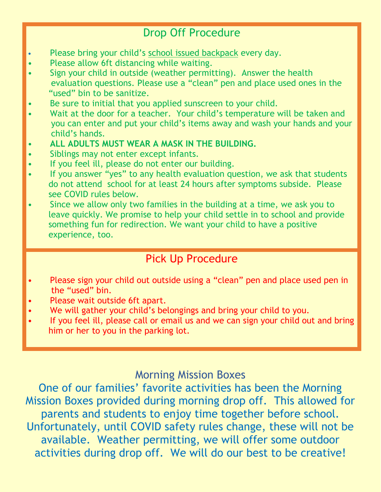#### Drop Off Procedure

- Please bring your child's school issued backpack every day.
- Please allow 6ft distancing while waiting.
- Sign your child in outside (weather permitting). Answer the health evaluation questions. Please use a "clean" pen and place used ones in the "used" bin to be sanitize.
- Be sure to initial that you applied sunscreen to your child.
- Wait at the door for a teacher. Your child's temperature will be taken and you can enter and put your child's items away and wash your hands and your child's hands.
- **ALL ADULTS MUST WEAR A MASK IN THE BUILDING.**
- Siblings may not enter except infants.
- If you feel ill, please do not enter our building.
- If you answer "yes" to any health evaluation question, we ask that students do not attend school for at least 24 hours after symptoms subside. Please see COVID rules below.
- Since we allow only two families in the building at a time, we ask you to leave quickly. We promise to help your child settle in to school and provide something fun for redirection. We want your child to have a positive experience, too.

#### Pick Up Procedure

- Please sign your child out outside using a "clean" pen and place used pen in the "used" bin.
- Please wait outside 6ft apart.
- We will gather your child's belongings and bring your child to you.
- If you feel ill, please call or email us and we can sign your child out and bring him or her to you in the parking lot.

#### Morning Mission Boxes

One of our families' favorite activities has been the Morning Mission Boxes provided during morning drop off. This allowed for parents and students to enjoy time together before school. Unfortunately, until COVID safety rules change, these will not be available. Weather permitting, we will offer some outdoor activities during drop off. We will do our best to be creative!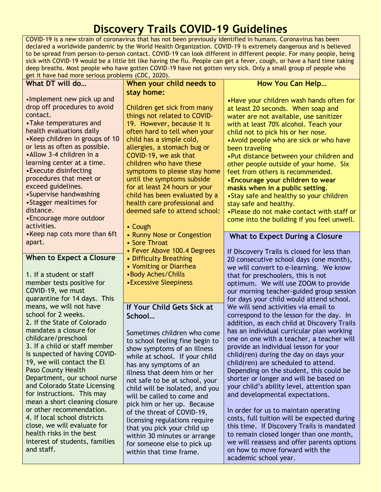### **Discovery Trails COVID-19 Guidelines**

COVID-19 is a new strain of coronavirus that has not been previously identified in humans. Coronavirus has been declared a worldwide pandemic by the World Health Organization. COVID-19 is extremely dangerous and is believed to be spread from person-to-person contact. COVID-19 can look different in different people. For many people, being sick with COVID-19 would be a little bit like having the flu. People can get a fever, cough, or have a hard time taking deep breaths. Most people who have gotten COVID-19 have not gotten very sick. Only a small group of people who get it have had more serious problems (CDC, 2020).

| What DT will do                 | When your child needs to        | <b>How You Can Help</b>                     |
|---------------------------------|---------------------------------|---------------------------------------------|
|                                 | stay home:                      |                                             |
| •Implement new pick up and      |                                 | •Have your children wash hands often for    |
| drop off procedures to avoid    | Children get sick from many     | at least 20 seconds. When soap and          |
| contact.                        | things not related to COVID-    | water are not available, use sanitizer      |
| •Take temperatures and          | 19. However, because it is      | with at least 70% alcohol. Teach your       |
| health evaluations daily        | often hard to tell when your    | child not to pick his or her nose.          |
| •Keep children in groups of 10  | child has a simple cold,        | • Avoid people who are sick or who have     |
| or less as often as possible.   | allergies, a stomach bug or     | been traveling                              |
| • Allow 3-4 children in a       | COVID-19, we ask that           | •Put distance between your children and     |
| learning center at a time.      | children who have these         | other people outside of your home. Six      |
| • Execute disinfecting          | symptoms to please stay home    | feet from others is recommended.            |
| procedures that meet or         | until the symptoms subside      | • Encourage your children to wear           |
| exceed guidelines.              | for at least 24 hours or your   | masks when in a public setting.             |
| •Supervise handwashing          | child has been evaluated by a   | •Stay safe and healthy so your children     |
| •Stagger mealtimes for          | health care professional and    | stay safe and healthy.                      |
| distance.                       | deemed safe to attend school:   | •Please do not make contact with staff or   |
| •Encourage more outdoor         |                                 | come into the building if you feel unwell.  |
| activities.                     | • Cough                         |                                             |
| •Keep nap cots more than 6ft    | • Runny Nose or Congestion      | <b>What to Expect During a Closure</b>      |
| apart.                          | • Sore Throat                   |                                             |
|                                 | • Fever Above 100.4 Degrees     | If Discovery Trails is closed for less than |
| <b>When to Expect a Closure</b> | • Difficulty Breathing          | 20 consecutive school days (one month),     |
|                                 | • Vomiting or Diarrhea          | we will convert to e-learning. We know      |
| 1. If a student or staff        | •Body Aches/Chills              | that for preschoolers, this is not          |
| member tests positive for       | <b>• Excessive Sleepiness</b>   | optimum. We will use ZOOM to provide        |
| COVID-19, we must               |                                 | our morning teacher-guided group session    |
| quarantine for 14 days. This    |                                 | for days your child would attend school.    |
| means, we will not have         | If Your Child Gets Sick at      | We will send activities via email to        |
| school for 2 weeks.             | School                          | correspond to the lesson for the day. In    |
| 2. If the State of Colorado     |                                 | addition, as each child at Discovery Trails |
| mandates a closure for          | Sometimes children who come     | has an individual curricular plan working   |
| childcare/preschool             |                                 | one on one with a teacher, a teacher will   |
| 3. If a child or staff member   | to school feeling fine begin to | provide an individual lesson for your       |
| is suspected of having COVID-   | show symptoms of an illness     | child(ren) during the day on days your      |
| 19, we will contact the El      | while at school. If your child  | child(ren) are scheduled to attend.         |
| <b>Paso County Health</b>       | has any symptoms of an          | Depending on the student, this could be     |
| Department, our school nurse    | illness that deem him or her    |                                             |
| and Colorado State Licensing    | not safe to be at school, your  | shorter or longer and will be based on      |
|                                 | child will be isolated, and you | your child's ability level, attention span  |
| for instructions. This may      | will be called to come and      | and developmental expectations.             |
| mean a short cleaning closure   | pick him or her up. Because     |                                             |
| or other recommendation.        | of the threat of COVID-19,      | In order for us to maintain operating       |
| 4. If local school districts    | licensing regulations require   | costs, full tuition will be expected during |
| close, we will evaluate for     | that you pick your child up     | this time. If Discovery Trails is mandated  |
| health risks in the best        | within 30 minutes or arrange    | to remain closed longer than one month,     |
| interest of students, families  | for someone else to pick up     | we will reassess and offer parents options  |
| and staff.                      | within that time frame.         | on how to move forward with the             |
|                                 |                                 | academic school year.                       |